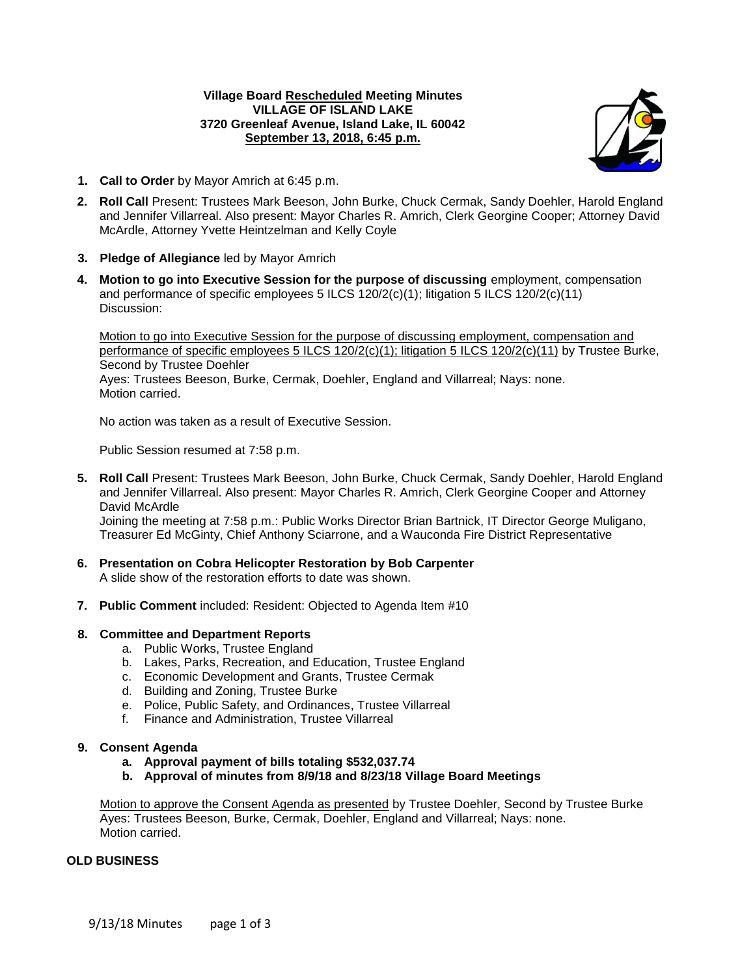## **Village Board Rescheduled Meeting Minutes VILLAGE OF ISLAND LAKE 3720 Greenleaf Avenue, Island Lake, IL 60042 September 13, 2018, 6:45 p.m.**



- **1. Call to Order** by Mayor Amrich at 6:45 p.m.
- **2. Roll Call** Present: Trustees Mark Beeson, John Burke, Chuck Cermak, Sandy Doehler, Harold England and Jennifer Villarreal. Also present: Mayor Charles R. Amrich, Clerk Georgine Cooper; Attorney David McArdle, Attorney Yvette Heintzelman and Kelly Coyle
- **3. Pledge of Allegiance** led by Mayor Amrich
- **4. Motion to go into Executive Session for the purpose of discussing** employment, compensation and performance of specific employees 5 ILCS 120/2(c)(1); litigation 5 ILCS 120/2(c)(11) Discussion:

Motion to go into Executive Session for the purpose of discussing employment, compensation and performance of specific employees 5 ILCS 120/2(c)(1); litigation 5 ILCS 120/2(c)(11) by Trustee Burke, Second by Trustee Doehler Ayes: Trustees Beeson, Burke, Cermak, Doehler, England and Villarreal; Nays: none. Motion carried.

No action was taken as a result of Executive Session.

Public Session resumed at 7:58 p.m.

- **5. Roll Call** Present: Trustees Mark Beeson, John Burke, Chuck Cermak, Sandy Doehler, Harold England and Jennifer Villarreal. Also present: Mayor Charles R. Amrich, Clerk Georgine Cooper and Attorney David McArdle Joining the meeting at 7:58 p.m.: Public Works Director Brian Bartnick, IT Director George Muligano, Treasurer Ed McGinty, Chief Anthony Sciarrone, and a Wauconda Fire District Representative
- **6. Presentation on Cobra Helicopter Restoration by Bob Carpenter** A slide show of the restoration efforts to date was shown.
- **7. Public Comment** included: Resident: Objected to Agenda Item #10

### **8. Committee and Department Reports**

- a. Public Works, Trustee England
- b. Lakes, Parks, Recreation, and Education, Trustee England
- c. Economic Development and Grants, Trustee Cermak
- d. Building and Zoning, Trustee Burke
- e. Police, Public Safety, and Ordinances, Trustee Villarreal
- f. Finance and Administration, Trustee Villarreal

### **9. Consent Agenda**

- **a. Approval payment of bills totaling \$532,037.74**
- **b. Approval of minutes from 8/9/18 and 8/23/18 Village Board Meetings**

Motion to approve the Consent Agenda as presented by Trustee Doehler, Second by Trustee Burke Ayes: Trustees Beeson, Burke, Cermak, Doehler, England and Villarreal; Nays: none. Motion carried.

# **OLD BUSINESS**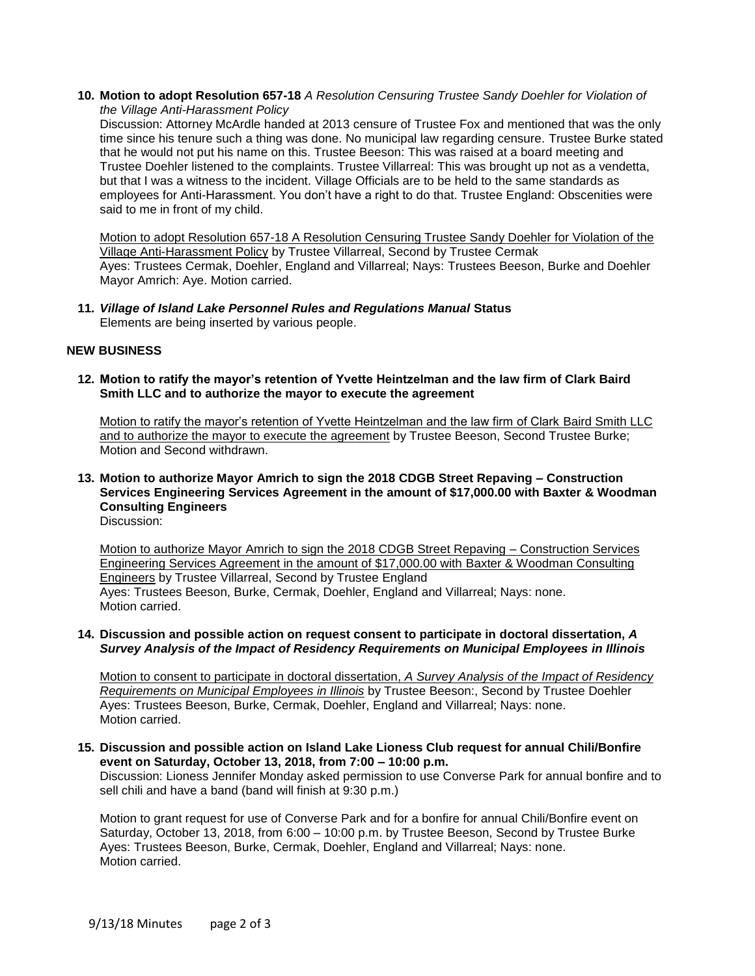**10. Motion to adopt Resolution 657-18** *A Resolution Censuring Trustee Sandy Doehler for Violation of the Village Anti-Harassment Policy*

Discussion: Attorney McArdle handed at 2013 censure of Trustee Fox and mentioned that was the only time since his tenure such a thing was done. No municipal law regarding censure. Trustee Burke stated that he would not put his name on this. Trustee Beeson: This was raised at a board meeting and Trustee Doehler listened to the complaints. Trustee Villarreal: This was brought up not as a vendetta, but that I was a witness to the incident. Village Officials are to be held to the same standards as employees for Anti-Harassment. You don't have a right to do that. Trustee England: Obscenities were said to me in front of my child.

Motion to adopt Resolution 657-18 A Resolution Censuring Trustee Sandy Doehler for Violation of the Village Anti-Harassment Policy by Trustee Villarreal, Second by Trustee Cermak Ayes: Trustees Cermak, Doehler, England and Villarreal; Nays: Trustees Beeson, Burke and Doehler Mayor Amrich: Aye. Motion carried.

**11.** *Village of Island Lake Personnel Rules and Regulations Manual* **Status** Elements are being inserted by various people.

## **NEW BUSINESS**

**12. Motion to ratify the mayor's retention of Yvette Heintzelman and the law firm of Clark Baird Smith LLC and to authorize the mayor to execute the agreement**

Motion to ratify the mayor's retention of Yvette Heintzelman and the law firm of Clark Baird Smith LLC and to authorize the mayor to execute the agreement by Trustee Beeson, Second Trustee Burke; Motion and Second withdrawn.

**13. Motion to authorize Mayor Amrich to sign the 2018 CDGB Street Repaving – Construction Services Engineering Services Agreement in the amount of \$17,000.00 with Baxter & Woodman Consulting Engineers** Discussion:

Motion to authorize Mayor Amrich to sign the 2018 CDGB Street Repaving – Construction Services Engineering Services Agreement in the amount of \$17,000.00 with Baxter & Woodman Consulting Engineers by Trustee Villarreal, Second by Trustee England Ayes: Trustees Beeson, Burke, Cermak, Doehler, England and Villarreal; Nays: none. Motion carried.

**14. Discussion and possible action on request consent to participate in doctoral dissertation,** *A Survey Analysis of the Impact of Residency Requirements on Municipal Employees in Illinois*

Motion to consent to participate in doctoral dissertation, *A Survey Analysis of the Impact of Residency Requirements on Municipal Employees in Illinois* by Trustee Beeson:, Second by Trustee Doehler Ayes: Trustees Beeson, Burke, Cermak, Doehler, England and Villarreal; Nays: none. Motion carried.

**15. Discussion and possible action on Island Lake Lioness Club request for annual Chili/Bonfire event on Saturday, October 13, 2018, from 7:00 – 10:00 p.m.**

Discussion: Lioness Jennifer Monday asked permission to use Converse Park for annual bonfire and to sell chili and have a band (band will finish at 9:30 p.m.)

Motion to grant request for use of Converse Park and for a bonfire for annual Chili/Bonfire event on Saturday, October 13, 2018, from 6:00 – 10:00 p.m. by Trustee Beeson, Second by Trustee Burke Ayes: Trustees Beeson, Burke, Cermak, Doehler, England and Villarreal; Nays: none. Motion carried.